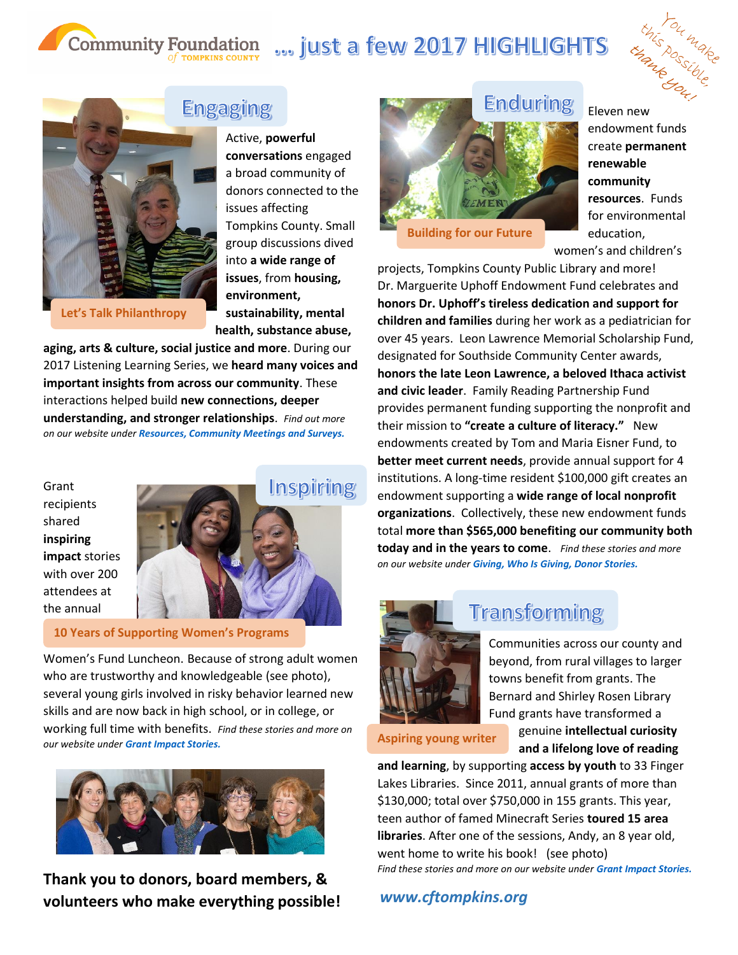# Community Foundation ... just a few 2017 HIGHLIGHTS **Enduring**



**Building for our Future**

Eleven new endowment funds create **permanent renewable community resources**. Funds for environmental education, women's and children's

projects, Tompkins County Public Library and more! Dr. Marguerite Uphoff Endowment Fund celebrates and **honors Dr. Uphoff's tireless dedication and support for children and families** during her work as a pediatrician for over 45 years. Leon Lawrence Memorial Scholarship Fund, designated for Southside Community Center awards, **honors the late Leon Lawrence, a beloved Ithaca activist and civic leader**. Family Reading Partnership Fund provides permanent funding supporting the nonprofit and their mission to **"create a culture of literacy."** New endowments created by Tom and Maria Eisner Fund, to **better meet current needs**, provide annual support for 4 institutions. A long-time resident \$100,000 gift creates an endowment supporting a **wide range of local nonprofit organizations**. Collectively, these new endowment funds total **more than \$565,000 benefiting our community both today and in the years to come**. *Find these stories and more on our website under [Giving, Who Is Giving, Donor Stories.](http://www.cftompkins.org/giving/who-is-giving/donor-stories/)*



## **Transforming**

Communities across our county and beyond, from rural villages to larger towns benefit from grants. The Bernard and Shirley Rosen Library Fund grants have transformed a

**Aspiring young writer**

genuine **intellectual curiosity and a lifelong love of reading** 

**and learning**, by supporting **access by youth** to 33 Finger Lakes Libraries. Since 2011, annual grants of more than \$130,000; total over \$750,000 in 155 grants. This year, teen author of famed Minecraft Series **toured 15 area libraries**. After one of the sessions, Andy, an 8 year old, went home to write his book! (see photo) *Find these stories and more on our website under Grant [Impact Stories.](http://www.cftompkins.org/granting/grant-success-stories/)* 

## *www.cftompkins.org*

**Let's Talk Philanthropy**

## **Engaging**

Active, **powerful conversations** engaged a broad community of donors connected to the issues affecting Tompkins County. Small group discussions dived into **a wide range of issues**, from **housing, environment, sustainability, mental health, substance abuse,** 

**aging, arts & culture, social justice and more**. During our 2017 Listening Learning Series, we **heard many voices and important insights from across our community**. These interactions helped build **new connections, deeper understanding, and stronger relationships**. *Find out more on our website under [Resources, Community Meetings and Surveys.](http://www.cftompkins.org/resources/community-meetings-and-surveys/)*

Grant recipients shared **inspiring impact** stories with over 200 attendees at the annual



### **10 Years of Supporting Women's Programs**

Women's Fund Luncheon. Because of strong adult women who are trustworthy and knowledgeable (see photo), several young girls involved in risky behavior learned new skills and are now back in high school, or in college, or working full time with benefits. *Find these stories and more on our website under [Grant Impact Stories.](http://www.cftompkins.org/granting/grant-success-stories/)*



**Thank you to donors, board members, & volunteers who make everything possible!**